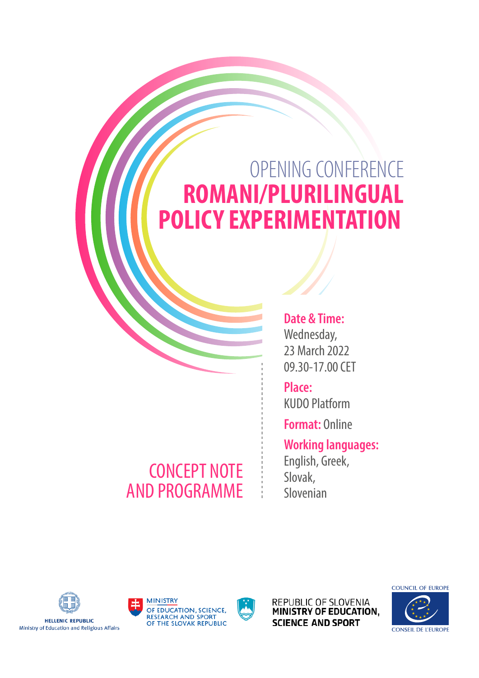# OPENING CONFERENCE **ROMANI/PLURILINGUAL POLICY EXPERIMENTATION**

### CONCEPT NOTE AND PROGRAMME

#### **Date & Time:**  Wednesday, 23 March 2022 09.30-17.00 CET

**Place:** KUDO Platform

**Format:** Online

### **Working languages:** English, Greek,

Slovak, Slovenian



**HELLENIC REPUBLIC** Ministry of Education and Religious Affairs







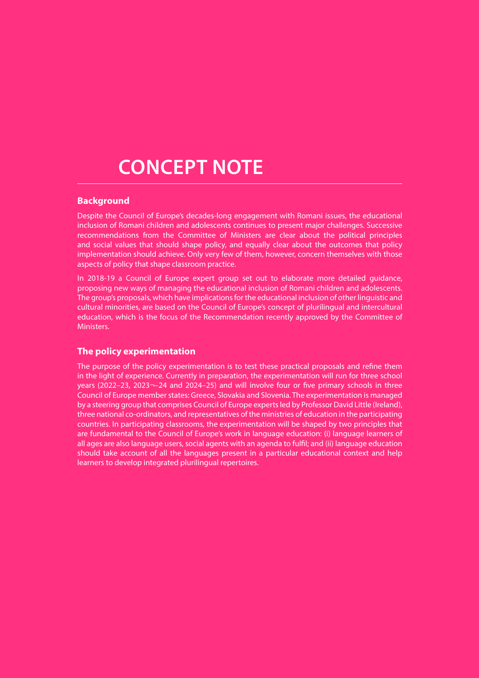## **CONCEPT NOTE**

#### **Background**

Despite the Council of Europe's decades-long engagement with Romani issues, the educational inclusion of Romani children and adolescents continues to present major challenges. Successive recommendations from the Committee of Ministers are clear about the political principles and social values that should shape policy, and equally clear about the outcomes that policy implementation should achieve. Only very few of them, however, concern themselves with those aspects of policy that shape classroom practice.

In 2018-19 a Council of Europe expert group set out to elaborate more detailed guidance, proposing new ways of managing the educational inclusion of Romani children and adolescents. The group's proposals, which have implications for the educational inclusion of other linguistic and cultural minorities, are based on the Council of Europe's concept of plurilingual and intercultural education, which is the focus of the Recommendation recently approved by the Committee of Ministers.

#### **The policy experimentation**

The purpose of the policy experimentation is to test these practical proposals and refine them in the light of experience. Currently in preparation, the experimentation will run for three school years (2022–23, 2023¬–24 and 2024–25) and will involve four or five primary schools in three Council of Europe member states: Greece, Slovakia and Slovenia. The experimentation is managed by a steering group that comprises Council of Europe experts led by Professor David Little (Ireland), three national co-ordinators, and representatives of the ministries of education in the participating countries. In participating classrooms, the experimentation will be shaped by two principles that are fundamental to the Council of Europe's work in language education: (i) language learners of all ages are also language users, social agents with an agenda to fulfil; and (ii) language education should take account of all the languages present in a particular educational context and help learners to develop integrated plurilingual repertoires.